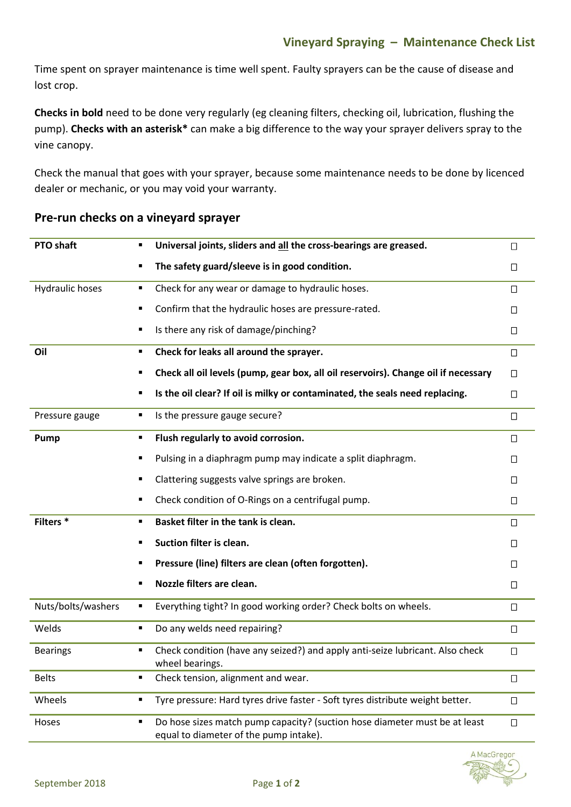Time spent on sprayer maintenance is time well spent. Faulty sprayers can be the cause of disease and lost crop.

**Checks in bold** need to be done very regularly (eg cleaning filters, checking oil, lubrication, flushing the pump). **Checks with an asterisk\*** can make a big difference to the way your sprayer delivers spray to the vine canopy.

Check the manual that goes with your sprayer, because some maintenance needs to be done by licenced dealer or mechanic, or you may void your warranty.

| <b>PTO shaft</b>       | Universal joints, sliders and all the cross-bearings are greased.<br>٠                                                    | П      |
|------------------------|---------------------------------------------------------------------------------------------------------------------------|--------|
|                        | The safety guard/sleeve is in good condition.<br>٠                                                                        | $\Box$ |
| <b>Hydraulic hoses</b> | Check for any wear or damage to hydraulic hoses.                                                                          | $\Box$ |
|                        | Confirm that the hydraulic hoses are pressure-rated.<br>٠                                                                 | П      |
|                        | Is there any risk of damage/pinching?<br>٠                                                                                | $\Box$ |
| Oil                    | Check for leaks all around the sprayer.<br>٠                                                                              | □      |
|                        | Check all oil levels (pump, gear box, all oil reservoirs). Change oil if necessary<br>٠                                   | $\Box$ |
|                        | Is the oil clear? If oil is milky or contaminated, the seals need replacing.<br>٠                                         | $\Box$ |
| Pressure gauge         | Is the pressure gauge secure?<br>٠                                                                                        | $\Box$ |
| Pump                   | Flush regularly to avoid corrosion.                                                                                       | $\Box$ |
|                        | Pulsing in a diaphragm pump may indicate a split diaphragm.<br>٠                                                          | $\Box$ |
|                        | Clattering suggests valve springs are broken.<br>٠                                                                        | П      |
|                        | Check condition of O-Rings on a centrifugal pump.<br>٠                                                                    | $\Box$ |
| Filters <sup>*</sup>   | Basket filter in the tank is clean.<br>٠                                                                                  | $\Box$ |
|                        | Suction filter is clean.<br>п                                                                                             | П      |
|                        | Pressure (line) filters are clean (often forgotten).<br>٠                                                                 | $\Box$ |
|                        | Nozzle filters are clean.<br>٠                                                                                            | $\Box$ |
| Nuts/bolts/washers     | Everything tight? In good working order? Check bolts on wheels.<br>٠                                                      | $\Box$ |
| Welds                  | Do any welds need repairing?<br>٠                                                                                         | □      |
| <b>Bearings</b>        | Check condition (have any seized?) and apply anti-seize lubricant. Also check<br>٠<br>wheel bearings.                     | $\Box$ |
| <b>Belts</b>           | Check tension, alignment and wear.<br>٠                                                                                   | $\Box$ |
| Wheels                 | Tyre pressure: Hard tyres drive faster - Soft tyres distribute weight better.<br>٠                                        | $\Box$ |
| Hoses                  | Do hose sizes match pump capacity? (suction hose diameter must be at least<br>٠<br>equal to diameter of the pump intake). | $\Box$ |
|                        |                                                                                                                           |        |

## **Pre-run checks on a vineyard sprayer**